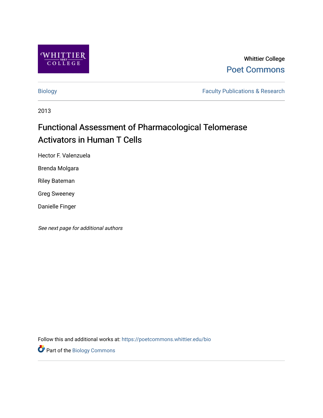

Whittier College [Poet Commons](https://poetcommons.whittier.edu/) 

[Biology](https://poetcommons.whittier.edu/bio) **Faculty Publications & Research** 

2013

# Functional Assessment of Pharmacological Telomerase Activators in Human T Cells

Hector F. Valenzuela

Brenda Molgara

Riley Bateman

Greg Sweeney

Danielle Finger

See next page for additional authors

Follow this and additional works at: [https://poetcommons.whittier.edu/bio](https://poetcommons.whittier.edu/bio?utm_source=poetcommons.whittier.edu%2Fbio%2F29&utm_medium=PDF&utm_campaign=PDFCoverPages)

Part of the [Biology Commons](http://network.bepress.com/hgg/discipline/41?utm_source=poetcommons.whittier.edu%2Fbio%2F29&utm_medium=PDF&utm_campaign=PDFCoverPages)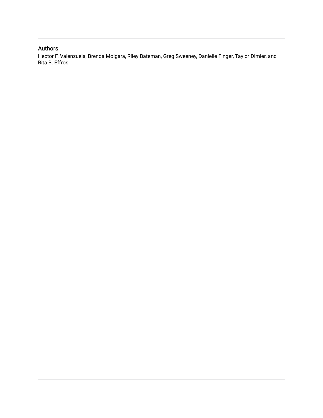# Authors

Hector F. Valenzuela, Brenda Molgara, Riley Bateman, Greg Sweeney, Danielle Finger, Taylor Dimler, and Rita B. Effros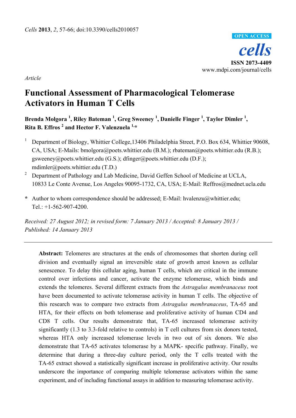

*Article* 

# **Functional Assessment of Pharmacological Telomerase Activators in Human T Cells**

**Brenda Molgora 1 , Riley Bateman <sup>1</sup> , Greg Sweeney <sup>1</sup> , Danielle Finger 1 , Taylor Dimler 1 , Rita B. Effros 2 and Hector F. Valenzuela 1,\***

- 1 Department of Biology, Whittier College,13406 Philadelphia Street, P.O. Box 634, Whittier 90608, CA, USA; E-Mails: bmolgora@poets.whittier.edu (B.M.); rbateman@poets.whittier.edu (R.B.); gsweeney@poets.whittier.edu (G.S.); dfinger@poets.whittier.edu (D.F.); mdimler@poets.whittier.edu (T.D.)
- <sup>2</sup> Department of Pathology and Lab Medicine, David Geffen School of Medicine at UCLA, 10833 Le Conte Avenue, Los Angeles 90095-1732, CA, USA; E-Mail: Reffros@mednet.ucla.edu
- **\*** Author to whom correspondence should be addressed; E-Mail: hvalenzu@whittier.edu; Tel.: +1-562-907-4200.

*Received: 27 August 2012; in revised form: 7 January 2013 / Accepted: 8 January 2013 / Published: 14 January 2013* 

**Abstract:** Telomeres are structures at the ends of chromosomes that shorten during cell division and eventually signal an irreversible state of growth arrest known as cellular senescence. To delay this cellular aging, human T cells, which are critical in the immune control over infections and cancer, activate the enzyme telomerase, which binds and extends the telomeres. Several different extracts from the *Astragalus membranaceus* root have been documented to activate telomerase activity in human T cells. The objective of this research was to compare two extracts from *Astragalus membranaceus*, TA-65 and HTA, for their effects on both telomerase and proliferative activity of human CD4 and CD8 T cells. Our results demonstrate that, TA-65 increased telomerase activity significantly (1.3 to 3.3-fold relative to controls) in T cell cultures from six donors tested, whereas HTA only increased telomerase levels in two out of six donors. We also demonstrate that TA-65 activates telomerase by a MAPK- specific pathway. Finally, we determine that during a three-day culture period, only the T cells treated with the TA-65 extract showed a statistically significant increase in proliferative activity. Our results underscore the importance of comparing multiple telomerase activators within the same experiment, and of including functional assays in addition to measuring telomerase activity.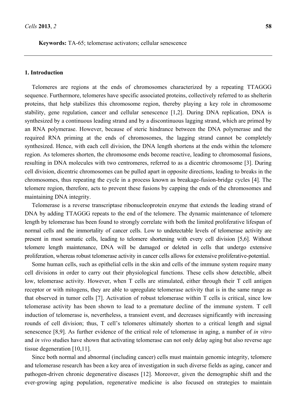**Keywords:** TA-65; telomerase activators; cellular senescence

#### **1. Introduction**

Telomeres are regions at the ends of chromosomes characterized by a repeating TTAGGG sequence. Furthermore, telomeres have specific associated proteins, collectively referred to as shelterin proteins, that help stabilizes this chromosome region, thereby playing a key role in chromosome stability, gene regulation, cancer and cellular senescence [1,2]. During DNA replication, DNA is synthesized by a continuous leading strand and by a discontinuous lagging strand, which are primed by an RNA polymerase. However, because of steric hindrance between the DNA polymerase and the required RNA priming at the ends of chromosomes, the lagging strand cannot be completely synthesized. Hence, with each cell division, the DNA length shortens at the ends within the telomere region. As telomeres shorten, the chromosome ends become reactive, leading to chromosomal fusions, resulting in DNA molecules with two centromeres, referred to as a dicentric chromosome [3]. During cell division, dicentric chromosomes can be pulled apart in opposite directions, leading to breaks in the chromosomes, thus repeating the cycle in a process known as breakage-fusion-bridge cycles [4]. The telomere region, therefore, acts to prevent these fusions by capping the ends of the chromosomes and maintaining DNA integrity.

Telomerase is a reverse transcriptase ribonucleoprotein enzyme that extends the leading strand of DNA by adding TTAGGG repeats to the end of the telomere. The dynamic maintenance of telomere length by telomerase has been found to strongly correlate with both the limited proliferative lifespan of normal cells and the immortality of cancer cells. Low to undetectable levels of telomerase activity are present in most somatic cells, leading to telomere shortening with every cell division [5,6]. Without telomere length maintenance, DNA will be damaged or deleted in cells that undergo extensive proliferation, whereas robust telomerase activity in cancer cells allows for extensive proliferative-potential.

Some human cells, such as epithelial cells in the skin and cells of the immune system require many cell divisions in order to carry out their physiological functions. These cells show detectible, albeit low, telomerase activity. However, when T cells are stimulated, either through their T cell antigen receptor or with mitogens, they are able to upregulate telomerase activity that is in the same range as that observed in tumor cells [7]. Activation of robust telomerase within T cells is critical, since low telomerase activity has been shown to lead to a premature decline of the immune system. T cell induction of telomerase is, nevertheless, a transient event, and decreases significantly with increasing rounds of cell division; thus, T cell's telomeres ultimately shorten to a critical length and signal senescence [8,9]. As further evidence of the critical role of telomerase in aging, a number of *in vitro* and *in vivo* studies have shown that activating telomerase can not only delay aging but also reverse age tissue degeneration [10,11].

Since both normal and abnormal (including cancer) cells must maintain genomic integrity, telomere and telomerase research has been a key area of investigation in such diverse fields as aging, cancer and pathogen-driven chronic degenerative diseases [12]. Moreover, given the demographic shift and the ever-growing aging population, regenerative medicine is also focused on strategies to maintain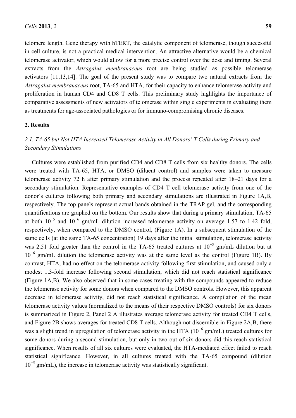telomere length. Gene therapy with hTERT, the catalytic component of telomerase, though successful in cell culture, is not a practical medical intervention. An attractive alternative would be a chemical telomerase activator, which would allow for a more precise control over the dose and timing. Several extracts from the *Astragalus membranaceus* root are being studied as possible telomerase activators [11,13,14]. The goal of the present study was to compare two natural extracts from the *Astragalus membranaceus* root, TA-65 and HTA, for their capacity to enhance telomerase activity and proliferation in human CD4 and CD8 T cells. This preliminary study highlights the importance of comparative assessments of new activators of telomerase within single experiments in evaluating them

#### **2. Results**

# *2.1. TA-65 but Not HTA Increased Telomerase Activity in All Donors' T Cells during Primary and Secondary Stimulations*

as treatments for age-associated pathologies or for immuno-compromising chronic diseases.

Cultures were established from purified CD4 and CD8 T cells from six healthy donors. The cells were treated with TA-65, HTA, or DMSO (diluent control) and samples were taken to measure telomerase activity 72 h after primary stimulation and the process repeated after 18–21 days for a secondary stimulation. Representative examples of CD4 T cell telomerase activity from one of the donor's cultures following both primary and secondary stimulations are illustrated in Figure 1A,B, respectively. The top panels represent actual bands obtained in the TRAP gel, and the corresponding quantifications are graphed on the bottom. Our results show that during a primary stimulation, TA-65 at both  $10^{-5}$  and  $10^{-6}$  gm/mL dilution increased telomerase activity on average 1.57 to 1.42 fold, respectively, when compared to the DMSO control, (Figure 1A). In a subsequent stimulation of the same cells (at the same TA-65 concentration) 19 days after the initial stimulation, telomerase activity was 2.51 fold greater than the control in the TA-65 treated cultures at  $10^{-5}$  gm/mL dilution but at 10<sup>−</sup><sup>6</sup> gm/mL dilution the telomerase activity was at the same level as the control (Figure 1B). By contrast, HTA, had no effect on the telomerase activity following first stimulation, and caused only a modest 1.3-fold increase following second stimulation, which did not reach statistical significance (Figure 1A,B). We also observed that in some cases treating with the compounds appeared to reduce the telomerase activity for some donors when compared to the DMSO controls. However, this apparent decrease in telomerase activity, did not reach statistical significance. A compilation of the mean telomerase activity values (normalized to the means of their respective DMSO controls) for six donors is summarized in Figure 2, Panel 2 A illustrates average telomerase activity for treated CD4 T cells, and Figure 2B shows averages for treated CD8 T cells. Although not discernible in Figure 2A,B, there was a slight trend in upregulation of telomerase activity in the HTA ( $10^{-6}$  gm/mL) treated cultures for some donors during a second stimulation, but only in two out of six donors did this reach statistical significance. When results of all six cultures were evaluated, the HTA-mediated effect failed to reach statistical significance. However, in all cultures treated with the TA-65 compound (dilution 10<sup>−</sup><sup>5</sup> gm/mL), the increase in telomerase activity was statistically significant.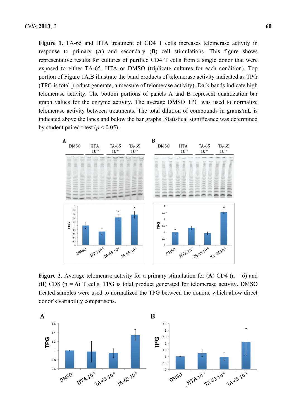**Figure 1.** TA-65 and HTA treatment of CD4 T cells increases telomerase activity in response to primary (**A**) and secondary (**B**) cell stimulations. This figure shows representative results for cultures of purified CD4 T cells from a single donor that were exposed to either TA-65, HTA or DMSO (triplicate cultures for each condition). Top portion of Figure 1A,B illustrate the band products of telomerase activity indicated as TPG (TPG is total product generate, a measure of telomerase activity). Dark bands indicate high telomerase activity. The bottom portions of panels A and B represent quantization bar graph values for the enzyme activity. The average DMSO TPG was used to normalize telomerase activity between treatments. The total dilution of compounds in grams/mL is indicated above the lanes and below the bar graphs. Statistical significance was determined by student paired t test ( $p < 0.05$ ).



**Figure 2.** Average telomerase activity for a primary stimulation for  $(A)$  CD4 (n = 6) and (**B**) CD8 ( $n = 6$ ) T cells. TPG is total product generated for telomerase activity. DMSO treated samples were used to normalized the TPG between the donors, which allow direct donor's variability comparisons.

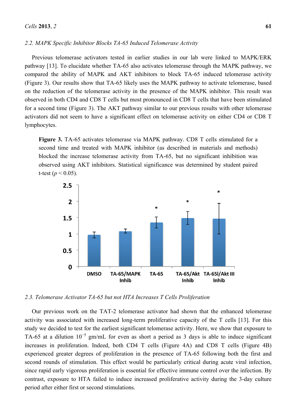#### *2.2. MAPK Specific Inhibitor Blocks TA-65 Induced Telomerase Activity*

Previous telomerase activators tested in earlier studies in our lab were linked to MAPK/ERK pathway [13]. To elucidate whether TA-65 also activates telomerase through the MAPK pathway, we compared the ability of MAPK and AKT inhibitors to block TA-65 induced telomerase activity (Figure 3). Our results show that TA-65 likely uses the MAPK pathway to activate telomerase, based on the reduction of the telomerase activity in the presence of the MAPK inhibitor. This result was observed in both CD4 and CD8 T cells but most pronounced in CD8 T cells that have been stimulated for a second time (Figure 3). The AKT pathway similar to our previous results with other telomerase activators did not seem to have a significant effect on telomerase activity on either CD4 or CD8 T lymphocytes.

**Figure 3.** TA-65 activates telomerase via MAPK pathway. CD8 T cells stimulated for a second time and treated with MAPK inhibitor (as described in materials and methods) blocked the increase telomerase activity from TA-65, but no significant inhibition was observed using AKT inhibitors. Statistical significance was determined by student paired t-test ( $p < 0.05$ ).



*2.3. Telomerase Activator TA-65 but not HTA Increases T Cells Proliferation* 

Our previous work on the TAT-2 telomerase activator had shown that the enhanced telomerase activity was associated with increased long-term proliferative capacity of the T cells [13]. For this study we decided to test for the earliest significant telomerase activity. Here, we show that exposure to TA-65 at a dilution  $10^{-5}$  gm/mL for even as short a period as 3 days is able to induce significant increases in proliferation. Indeed, both CD4 T cells (Figure 4A) and CD8 T cells (Figure 4B) experienced greater degrees of proliferation in the presence of TA-65 following both the first and second rounds of stimulation. This effect would be particularly critical during acute viral infection, since rapid early vigorous proliferation is essential for effective immune control over the infection. By contrast, exposure to HTA failed to induce increased proliferative activity during the 3-day culture period after either first or second stimulations.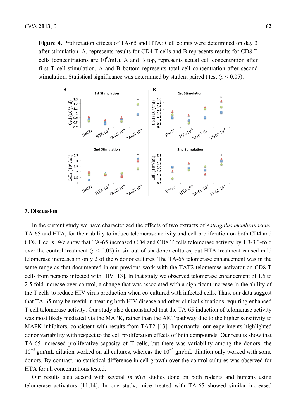Figure 4. Proliferation effects of TA-65 and HTA: Cell counts were determined on day 3 after stimulation. A, represents results for CD4 T cells and B represents results for CD8 T cells (concentrations are  $10^6$ /mL). A and B top, represents actual cell concentration after first T cell stimulation, A and B bottom represents total cell concentration after second stimulation. Statistical significance was determined by student paired t test  $(p < 0.05)$ .



#### **3. Discussion**

In the current study we have characterized the effects of two extracts of *Astragalus membranaceus*, TA-65 and HTA, for their ability to induce telomerase activity and cell proliferation on both CD4 and CD8 T cells. We show that TA-65 increased CD4 and CD8 T cells telomerase activity by 1.3-3.3-fold over the control treatment ( $p < 0.05$ ) in six out of six donor cultures, but HTA treatment caused mild telomerase increases in only 2 of the 6 donor cultures. The TA-65 telomerase enhancement was in the same range as that documented in our previous work with the TAT2 telomerase activator on CD8 T cells from persons infected with HIV [13]. In that study we observed telomerase enhancement of 1.5 to 2.5 fold increase over control, a change that was associated with a significant increase in the ability of the T cells to reduce HIV virus production when co-cultured with infected cells. Thus, our data suggest that TA-65 may be useful in treating both HIV disease and other clinical situations requiring enhanced T cell telomerase activity. Our study also demonstrated that the TA-65 induction of telomerase activity was most likely mediated via the MAPK, rather than the AKT pathway due to the higher sensitivity to MAPK inhibitors, consistent with results from TAT2 [13]. Importantly, our experiments highlighted donor variability with respect to the cell proliferation effects of both compounds. Our results show that TA-65 increased proliferative capacity of T cells, but there was variability among the donors; the 10<sup>−</sup><sup>5</sup> gm/mL dilution worked on all cultures, whereas the 10<sup>−</sup><sup>6</sup> gm/mL dilution only worked with some donors. By contrast, no statistical difference in cell growth over the control cultures was observed for HTA for all concentrations tested.

Our results also accord with several *in vivo* studies done on both rodents and humans using telomerase activators [11,14]. In one study, mice treated with TA-65 showed similar increased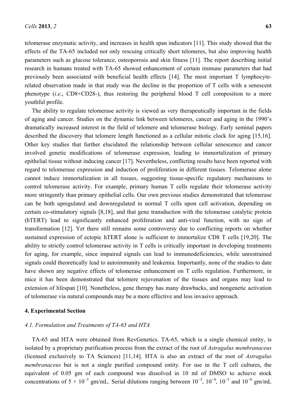telomerase enzymatic activity, and increases in health span indicators [11]. This study showed that the effects of the TA-65 included not only rescuing critically short telomeres, but also improving health parameters such as glucose tolerance, osteoporosis and skin fitness [11]. The report describing initial research in humans treated with TA-65 showed enhancement of certain immune parameters that had previously been associated with beneficial health effects [14]. The most important T lymphocyterelated observation made in that study was the decline in the proportion of T cells with a senescent phenotype (*i.e*., CD8+CD28-), thus restoring the peripheral blood T cell composition to a more youthful profile.

The ability to regulate telomerase activity is viewed as very therapeutically important in the fields of aging and cancer. Studies on the dynamic link between telomeres, cancer and aging in the 1990's dramatically increased interest in the field of telomere and telomerase biology. Early seminal papers described the discovery that telomere length functioned as a cellular mitotic clock for aging [15,16]. Other key studies that further elucidated the relationship between cellular senescence and cancer involved genetic modifications of telomerase expression, leading to immortalization of primary epithelial tissue without inducing cancer [17]. Nevertheless, conflicting results have been reported with regard to telomerase expression and induction of proliferation in different tissues. Telomerase alone cannot induce immortalization in all tissues, suggesting tissue-specific regulatory mechanisms to control telomerase activity. For example, primary human T cells regulate their telomerase activity more stringently than primary epithelial cells. Our own previous studies demonstrated that telomerase can be both upregulated and downregulated in normal T cells upon cell activation, depending on certain co-stimulatory signals [8,18], and that gene transduction with the telomerase catalytic protein (hTERT) lead to significantly enhanced proliferation and anti-viral function, with no sign of transformation [12]. Yet there still remains some controversy due to conflicting reports on whether sustained expression of ectopic hTERT alone is sufficient to immortalize CD8 T cells [19,20]. The ability to strictly control telomerase activity in T cells is critically important in developing treatments for aging, for example, since impaired signals can lead to immunodeficiencies, while unrestrained signals could theoretically lead to autoimmunity and leukemia. Importantly, none of the studies to date have shown any negative effects of telomerase enhancement on T cells regulation. Furthermore, in mice it has been demonstrated that telomere rejuvenation of the tissues and organs may lead to extension of lifespan [10]. Nonetheless, gene therapy has many drawbacks, and nongenetic activation of telomerase via natural compounds may be a more effective and less invasive approach.

#### **4. Experimental Section**

# *4.1. Formulation and Treatments of TA-65 and HTA*

TA-65 and HTA were obtained from RevGenetics. TA-65, which is a single chemical entity, is isolated by a proprietary purification process from the extract of the root of *Astragalus membranaceus* (licensed exclusively to TA Sciences) [11,14]. HTA is also an extract of the root of *Astragalus membranaceus* but is not a single purified compound entity. For use in the T cell cultures, the equivalent of 0.05 gm of each compound was dissolved in 10 ml of DMSO to achieve stock concentrations of  $5 \times 10^{-3}$  gm/mL. Serial dilutions ranging between  $10^{-3}$ ,  $10^{-4}$ ,  $10^{-5}$  and  $10^{-6}$  gm/mL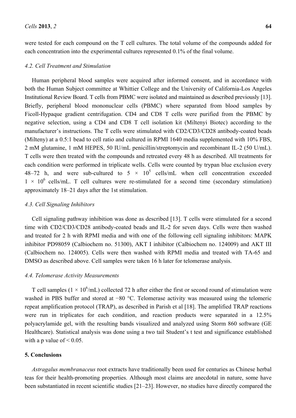were tested for each compound on the T cell cultures. The total volume of the compounds added for each concentration into the experimental cultures represented 0.1% of the final volume.

#### *4.2. Cell Treatment and Stimulation*

Human peripheral blood samples were acquired after informed consent, and in accordance with both the Human Subject committee at Whittier College and the University of California-Los Angeles Institutional Review Board. T cells from PBMC were isolated and maintained as described previously [13]. Briefly, peripheral blood mononuclear cells (PBMC) where separated from blood samples by Ficoll-Hypaque gradient centrifugation. CD4 and CD8 T cells were purified from the PBMC by negative selection, using a CD4 and CD8 T cell isolation kit (Miltenyi Biotec) according to the manufacturer's instructions. The T cells were stimulated with CD2/CD3/CD28 antibody-coated beads (Milteny) at a 0.5:1 bead to cell ratio and cultured in RPMI 1640 media supplemented with 10% FBS, 2 mM glutamine, 1 mM HEPES, 50 IU/mL penicillin/streptomycin and recombinant IL-2 (50 U/mL). T cells were then treated with the compounds and retreated every 48 h as described. All treatments for each condition were performed in triplicate wells. Cells were counted by trypan blue exclusion every 48–72 h, and were sub-cultured to  $5 \times 10^5$  cells/mL when cell concentration exceeded  $1 \times 10^6$  cells/mL. T cell cultures were re-stimulated for a second time (secondary stimulation) approximately 18–21 days after the 1st stimulation.

#### *4.3. Cell Signaling Inhibitors*

Cell signaling pathway inhibition was done as described [13]. T cells were stimulated for a second time with CD2/CD3/CD28 antibody-coated beads and IL-2 for seven days. Cells were then washed and treated for 2 h with RPMI media and with one of the following cell signaling inhibitors: MAPK inhibitor PD98059 (Calbiochem no. 51300), AKT I inhibitor (Calbiochem no. 124009) and AKT III (Calbiochem no. 124005). Cells were then washed with RPMI media and treated with TA-65 and DMSO as described above. Cell samples were taken 16 h later for telomerase analysis.

## *4.4. Telomerase Activity Measurements*

T cell samples ( $1 \times 10^6$ /mL) collected 72 h after either the first or second round of stimulation were washed in PBS buffer and stored at −80 °C. Telomerase activity was measured using the telomeric repeat amplification protocol (TRAP), as described in Parish et al [18]. The amplified TRAP reactions were run in triplicates for each condition, and reaction products were separated in a 12.5% polyacrylamide gel, with the resulting bands visualized and analyzed using Storm 860 software (GE Healthcare). Statistical analysis was done using a two tail Student's t test and significance established with a p value of  $\leq 0.05$ .

#### **5. Conclusions**

*Astragalus membranaceus* root extracts have traditionally been used for centuries as Chinese herbal teas for their health-promoting properties. Although most claims are anecdotal in nature, some have been substantiated in recent scientific studies [21–23]. However, no studies have directly compared the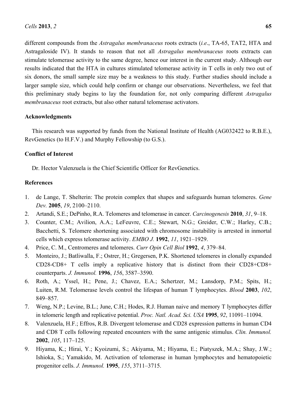different compounds from the *Astragalus membranaceus* roots extracts (*i.e*., TA-65, TAT2, HTA and Astragaloside IV). It stands to reason that not all *Astragalus membranaceus* roots extracts can stimulate telomerase activity to the same degree, hence our interest in the current study. Although our results indicated that the HTA in cultures stimulated telomerase activity in T cells in only two out of six donors, the small sample size may be a weakness to this study. Further studies should include a larger sample size, which could help confirm or change our observations. Nevertheless, we feel that this preliminary study begins to lay the foundation for, not only comparing different *Astragalus membranaceus* root extracts, but also other natural telomerase activators.

### **Acknowledgments**

This research was supported by funds from the National Institute of Health (AG032422 to R.B.E.), RevGenetics (to H.F.V.) and Murphy Fellowship (to G.S.).

## **Conflict of Interest**

Dr. Hector Valenzuela is the Chief Scientific Officer for RevGenetics.

### **References**

- 1. de Lange, T. Shelterin: The protein complex that shapes and safeguards human telomeres. *Gene Dev.* **2005**, *19*, 2100–2110.
- 2. Artandi, S.E.; DePinho, R.A. Telomeres and telomerase in cancer. *Carcinogenesis* **2010**, *31*, 9–18.
- 3. Counter, C.M.; Avilion, A.A.; LeFeuvre, C.E.; Stewart, N.G.; Greider, C.W.; Harley, C.B.; Bacchetti, S. Telomere shortening associated with chromosome instability is arrested in inmortal cells which express telomerase activity. *EMBO J.* **1992**, *11*, 1921–1929.
- 4. Price, C. M., Centromeres and telomeres. *Curr Opin Cell Biol* **1992**, *4*, 379–84.
- 5. Monteiro, J.; Batliwalla, F.; Ostrer, H.; Gregersen, P.K. Shortened telomeres in clonally expanded CD28-CD8+ T cells imply a replicative history that is distinct from their CD28+CD8+ counterparts. *J. Immunol.* **1996**, *156*, 3587–3590.
- 6. Roth, A.; Yssel, H.; Pene, J.; Chavez, E.A.; Schertzer, M.; Lansdorp, P.M.; Spits, H.; Luiten, R.M. Telomerase levels control the lifespan of human T lymphocytes. *Blood* **2003**, *102*, 849–857.
- 7. Weng, N.P.; Levine, B.L.; June, C.H.; Hodes, R.J. Human naive and memory T lymphocytes differ in telomeric length and replicative potential. *Proc. Natl. Acad. Sci. USA* **1995**, *92*, 11091–11094.
- 8. Valenzuela, H.F.; Effros, R.B. Divergent telomerase and CD28 expression patterns in human CD4 and CD8 T cells following repeated encounters with the same antigenic stimulus. *Clin. Immunol.*  **2002**, *105*, 117–125.
- 9. Hiyama, K.; Hirai, Y.; Kyoizumi, S.; Akiyama, M.; Hiyama, E.; Piatyszek, M.A.; Shay, J.W.; Ishioka, S.; Yamakido, M. Activation of telomerase in human lymphocytes and hematopoietic progenitor cells. *J. Immunol.* **1995**, *155*, 3711–3715.